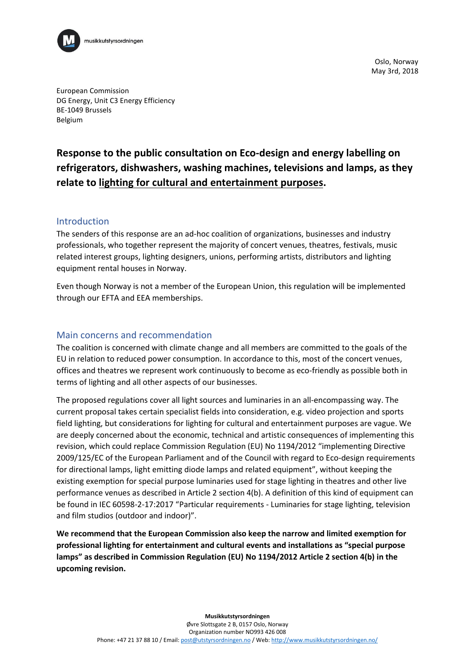

Oslo, Norway May 3rd, 2018

European Commission DG Energy, Unit C3 Energy Efficiency BE-1049 Brussels Belgium

# **Response to the public consultation on Eco-design and energy labelling on refrigerators, dishwashers, washing machines, televisions and lamps, as they relate to lighting for cultural and entertainment purposes.**

### Introduction

The senders of this response are an ad-hoc coalition of organizations, businesses and industry professionals, who together represent the majority of concert venues, theatres, festivals, music related interest groups, lighting designers, unions, performing artists, distributors and lighting equipment rental houses in Norway.

Even though Norway is not a member of the European Union, this regulation will be implemented through our EFTA and EEA memberships.

### Main concerns and recommendation

The coalition is concerned with climate change and all members are committed to the goals of the EU in relation to reduced power consumption. In accordance to this, most of the concert venues, offices and theatres we represent work continuously to become as eco-friendly as possible both in terms of lighting and all other aspects of our businesses.

The proposed regulations cover all light sources and luminaries in an all-encompassing way. The current proposal takes certain specialist fields into consideration, e.g. video projection and sports field lighting, but considerations for lighting for cultural and entertainment purposes are vague. We are deeply concerned about the economic, technical and artistic consequences of implementing this revision, which could replace Commission Regulation (EU) No 1194/2012 "implementing Directive 2009/125/EC of the European Parliament and of the Council with regard to Eco-design requirements for directional lamps, light emitting diode lamps and related equipment", without keeping the existing exemption for special purpose luminaries used for stage lighting in theatres and other live performance venues as described in Article 2 section 4(b). A definition of this kind of equipment can be found in IEC 60598-2-17:2017 "Particular requirements - Luminaries for stage lighting, television and film studios (outdoor and indoor)".

**We recommend that the European Commission also keep the narrow and limited exemption for professional lighting for entertainment and cultural events and installations as "special purpose lamps" as described in Commission Regulation (EU) No 1194/2012 Article 2 section 4(b) in the upcoming revision.**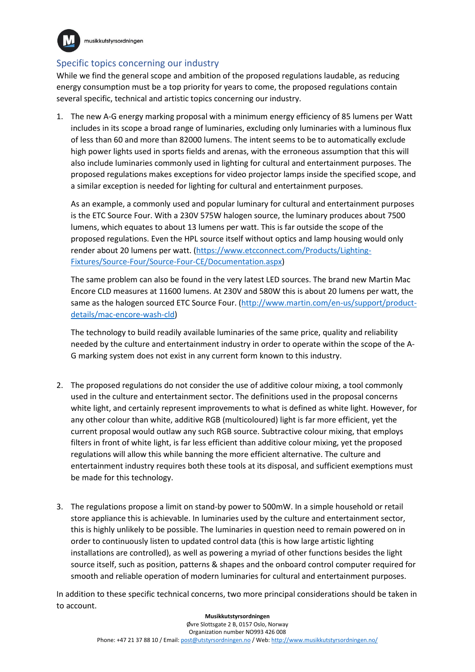

musikkutstyrsordningen

# Specific topics concerning our industry

While we find the general scope and ambition of the proposed regulations laudable, as reducing energy consumption must be a top priority for years to come, the proposed regulations contain several specific, technical and artistic topics concerning our industry.

1. The new A-G energy marking proposal with a minimum energy efficiency of 85 lumens per Watt includes in its scope a broad range of luminaries, excluding only luminaries with a luminous flux of less than 60 and more than 82000 lumens. The intent seems to be to automatically exclude high power lights used in sports fields and arenas, with the erroneous assumption that this will also include luminaries commonly used in lighting for cultural and entertainment purposes. The proposed regulations makes exceptions for video projector lamps inside the specified scope, and a similar exception is needed for lighting for cultural and entertainment purposes.

As an example, a commonly used and popular luminary for cultural and entertainment purposes is the ETC Source Four. With a 230V 575W halogen source, the luminary produces about 7500 lumens, which equates to about 13 lumens per watt. This is far outside the scope of the proposed regulations. Even the HPL source itself without optics and lamp housing would only render about 20 lumens per watt. [\(https://www.etcconnect.com/Products/Lighting-](https://www.etcconnect.com/Products/Lighting-Fixtures/Source-Four/Source-Four-CE/Documentation.aspx)[Fixtures/Source-Four/Source-Four-CE/Documentation.aspx\)](https://www.etcconnect.com/Products/Lighting-Fixtures/Source-Four/Source-Four-CE/Documentation.aspx)

The same problem can also be found in the very latest LED sources. The brand new Martin Mac Encore CLD measures at 11600 lumens. At 230V and 580W this is about 20 lumens per watt, the same as the halogen sourced ETC Source Four. [\(http://www.martin.com/en-us/support/product](http://www.martin.com/en-us/support/product-details/mac-encore-wash-cld)[details/mac-encore-wash-cld\)](http://www.martin.com/en-us/support/product-details/mac-encore-wash-cld)

The technology to build readily available luminaries of the same price, quality and reliability needed by the culture and entertainment industry in order to operate within the scope of the A-G marking system does not exist in any current form known to this industry.

- 2. The proposed regulations do not consider the use of additive colour mixing, a tool commonly used in the culture and entertainment sector. The definitions used in the proposal concerns white light, and certainly represent improvements to what is defined as white light. However, for any other colour than white, additive RGB (multicoloured) light is far more efficient, yet the current proposal would outlaw any such RGB source. Subtractive colour mixing, that employs filters in front of white light, is far less efficient than additive colour mixing, yet the proposed regulations will allow this while banning the more efficient alternative. The culture and entertainment industry requires both these tools at its disposal, and sufficient exemptions must be made for this technology.
- 3. The regulations propose a limit on stand-by power to 500mW. In a simple household or retail store appliance this is achievable. In luminaries used by the culture and entertainment sector, this is highly unlikely to be possible. The luminaries in question need to remain powered on in order to continuously listen to updated control data (this is how large artistic lighting installations are controlled), as well as powering a myriad of other functions besides the light source itself, such as position, patterns & shapes and the onboard control computer required for smooth and reliable operation of modern luminaries for cultural and entertainment purposes.

In addition to these specific technical concerns, two more principal considerations should be taken in to account.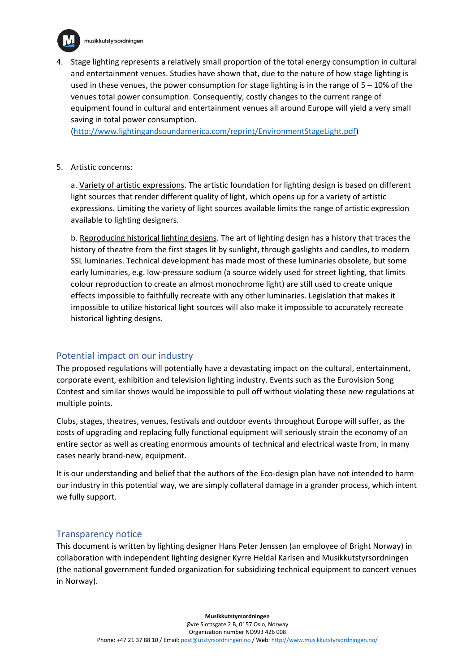

4. Stage lighting represents a relatively small proportion of the total energy consumption in cultural and entertainment venues. Studies have shown that, due to the nature of how stage lighting is used in these venues, the power consumption for stage lighting is in the range of  $5 - 10\%$  of the venues total power consumption. Consequently, costly changes to the current range of equipment found in cultural and entertainment venues all around Europe will yield a very small saving in total power consumption.

[\(http://www.lightingandsoundamerica.com/reprint/EnvironmentStageLight.pdf\)](http://www.lightingandsoundamerica.com/reprint/EnvironmentStageLight.pdf)

5. Artistic concerns:

a. Variety of artistic expressions. The artistic foundation for lighting design is based on different light sources that render different quality of light, which opens up for a variety of artistic expressions. Limiting the variety of light sources available limits the range of artistic expression available to lighting designers.

b. Reproducing historical lighting designs. The art of lighting design has a history that traces the history of theatre from the first stages lit by sunlight, through gaslights and candles, to modern SSL luminaries. Technical development has made most of these luminaries obsolete, but some early luminaries, e.g. low-pressure sodium (a source widely used for street lighting, that limits colour reproduction to create an almost monochrome light) are still used to create unique effects impossible to faithfully recreate with any other luminaries. Legislation that makes it impossible to utilize historical light sources will also make it impossible to accurately recreate historical lighting designs.

## Potential impact on our industry

The proposed regulations will potentially have a devastating impact on the cultural, entertainment, corporate event, exhibition and television lighting industry. Events such as the Eurovision Song Contest and similar shows would be impossible to pull off without violating these new regulations at multiple points.

Clubs, stages, theatres, venues, festivals and outdoor events throughout Europe will suffer, as the costs of upgrading and replacing fully functional equipment will seriously strain the economy of an entire sector as well as creating enormous amounts of technical and electrical waste from, in many cases nearly brand-new, equipment.

It is our understanding and belief that the authors of the Eco-design plan have not intended to harm our industry in this potential way, we are simply collateral damage in a grander process, which intent we fully support.

### Transparency notice

This document is written by lighting designer Hans Peter Jenssen (an employee of Bright Norway) in collaboration with independent lighting designer Kyrre Heldal Karlsen and Musikkutstyrsordningen (the national government funded organization for subsidizing technical equipment to concert venues in Norway).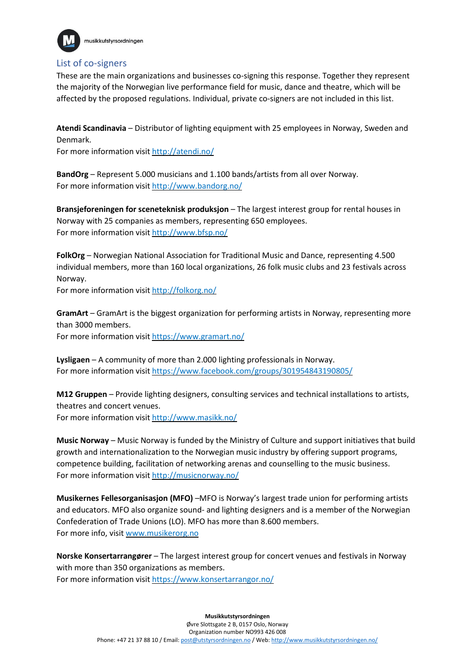

## List of co-signers

These are the main organizations and businesses co-signing this response. Together they represent the majority of the Norwegian live performance field for music, dance and theatre, which will be affected by the proposed regulations. Individual, private co-signers are not included in this list.

**Atendi Scandinavia** – Distributor of lighting equipment with 25 employees in Norway, Sweden and Denmark.

For more information visit <http://atendi.no/>

**BandOrg** – Represent 5.000 musicians and 1.100 bands/artists from all over Norway. For more information visit <http://www.bandorg.no/>

**Bransjeforeningen for sceneteknisk produksjon** – The largest interest group for rental houses in Norway with 25 companies as members, representing 650 employees. For more information visit <http://www.bfsp.no/>

**FolkOrg** – Norwegian National Association for Traditional Music and Dance, representing 4.500 individual members, more than 160 local organizations, 26 folk music clubs and 23 festivals across Norway.

For more information visit [http://folkorg.no/](https://url12.mailanyone.net/v1/?m=1fFZfI-000iWv-3c&i=57e1b682&c=TdtOJ_QQdQn5rkyiJvKBLjP1ufw-OccvXsJ_1L-tMQyVHiBF5xNgrugoeh_YGBCvINv1_PJtX9OYAMCp6q2yQhaNOoFr0NJ3kGHXIquxEnb5PcZq7epm3anxAJvgBS5oJOvtnmsjsIeCGZtfC4_bAg4hlWpvjaIQA3hKhvqmR6YtHp7gyhDda9bKWCA5WEMdLJZEwDy4nHI2yJN1FiEFxQ)

**GramArt** – GramArt is the biggest organization for performing artists in Norway, representing more than 3000 members.

For more information visit <https://www.gramart.no/>

**Lysligaen** – A community of more than 2.000 lighting professionals in Norway. For more information visit <https://www.facebook.com/groups/301954843190805/>

**M12 Gruppen** – Provide lighting designers, consulting services and technical installations to artists, theatres and concert venues. For more information visit <http://www.masikk.no/>

**Music Norway** – Music Norway is funded by the Ministry of Culture and support initiatives that build growth and internationalization to the Norwegian music industry by offering support programs, competence building, facilitation of networking arenas and counselling to the music business. For more information visit <http://musicnorway.no/>

**Musikernes Fellesorganisasjon (MFO)** –MFO is Norway's largest trade union for performing artists and educators. MFO also organize sound- and lighting designers and is a member of the Norwegian Confederation of Trade Unions (LO). MFO has more than 8.600 members. For more info, visit [www.musikerorg.no](https://url12.mailanyone.net/v1/?m=1fFK1C-000j4k-3p&i=57e1b682&c=yu9zb93Z2HPsUx5azPf7mcncOp2rRRhp74Vghvasy2aQrBYlyAnZWYB1QI_ZaI8hcCAFngrusHYuG2H_3SQBsdE9kR1lID0CySob0Ylx5kP5ZhGIHneauO35WnZUzQgiLW1xJj8SHlkJNIdj02_zgd4iGa0KyqYDRpC6lG2cJxgfN4mTHziGw4J6_AfJbcRaNnerL9N-_x2lY8QppyeMtthKIHyTlXJhfUd8u5-N0fs)

**Norske Konsertarrangører** – The largest interest group for concert venues and festivals in Norway with more than 350 organizations as members. For more information visit <https://www.konsertarrangor.no/>